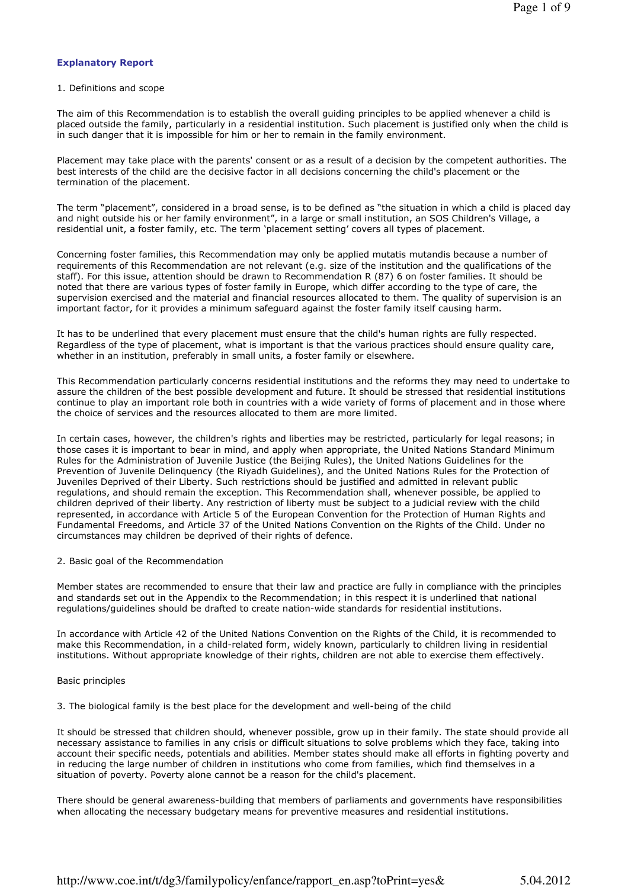# Explanatory Report

### 1. Definitions and scope

The aim of this Recommendation is to establish the overall guiding principles to be applied whenever a child is placed outside the family, particularly in a residential institution. Such placement is justified only when the child is in such danger that it is impossible for him or her to remain in the family environment.

Placement may take place with the parents' consent or as a result of a decision by the competent authorities. The best interests of the child are the decisive factor in all decisions concerning the child's placement or the termination of the placement.

The term "placement", considered in a broad sense, is to be defined as "the situation in which a child is placed day and night outside his or her family environment", in a large or small institution, an SOS Children's Village, a residential unit, a foster family, etc. The term 'placement setting' covers all types of placement.

Concerning foster families, this Recommendation may only be applied mutatis mutandis because a number of requirements of this Recommendation are not relevant (e.g. size of the institution and the qualifications of the staff). For this issue, attention should be drawn to Recommendation R (87) 6 on foster families. It should be noted that there are various types of foster family in Europe, which differ according to the type of care, the supervision exercised and the material and financial resources allocated to them. The quality of supervision is an important factor, for it provides a minimum safeguard against the foster family itself causing harm.

It has to be underlined that every placement must ensure that the child's human rights are fully respected. Regardless of the type of placement, what is important is that the various practices should ensure quality care, whether in an institution, preferably in small units, a foster family or elsewhere.

This Recommendation particularly concerns residential institutions and the reforms they may need to undertake to assure the children of the best possible development and future. It should be stressed that residential institutions continue to play an important role both in countries with a wide variety of forms of placement and in those where the choice of services and the resources allocated to them are more limited.

In certain cases, however, the children's rights and liberties may be restricted, particularly for legal reasons; in those cases it is important to bear in mind, and apply when appropriate, the United Nations Standard Minimum Rules for the Administration of Juvenile Justice (the Beijing Rules), the United Nations Guidelines for the Prevention of Juvenile Delinquency (the Riyadh Guidelines), and the United Nations Rules for the Protection of Juveniles Deprived of their Liberty. Such restrictions should be justified and admitted in relevant public regulations, and should remain the exception. This Recommendation shall, whenever possible, be applied to children deprived of their liberty. Any restriction of liberty must be subject to a judicial review with the child represented, in accordance with Article 5 of the European Convention for the Protection of Human Rights and Fundamental Freedoms, and Article 37 of the United Nations Convention on the Rights of the Child. Under no circumstances may children be deprived of their rights of defence.

## 2. Basic goal of the Recommendation

Member states are recommended to ensure that their law and practice are fully in compliance with the principles and standards set out in the Appendix to the Recommendation; in this respect it is underlined that national regulations/guidelines should be drafted to create nation-wide standards for residential institutions.

In accordance with Article 42 of the United Nations Convention on the Rights of the Child, it is recommended to make this Recommendation, in a child-related form, widely known, particularly to children living in residential institutions. Without appropriate knowledge of their rights, children are not able to exercise them effectively.

#### Basic principles

3. The biological family is the best place for the development and well-being of the child

It should be stressed that children should, whenever possible, grow up in their family. The state should provide all necessary assistance to families in any crisis or difficult situations to solve problems which they face, taking into account their specific needs, potentials and abilities. Member states should make all efforts in fighting poverty and in reducing the large number of children in institutions who come from families, which find themselves in a situation of poverty. Poverty alone cannot be a reason for the child's placement.

There should be general awareness-building that members of parliaments and governments have responsibilities when allocating the necessary budgetary means for preventive measures and residential institutions.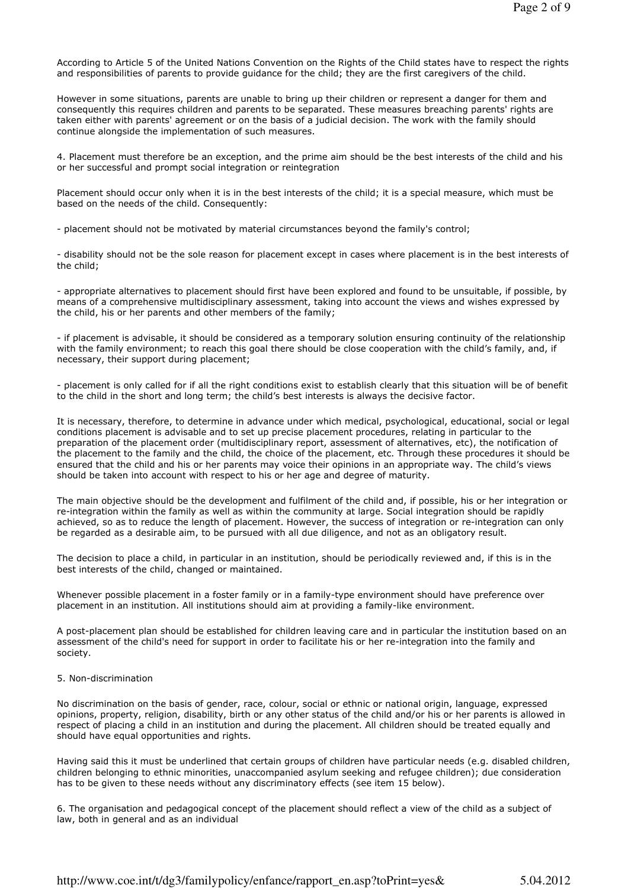According to Article 5 of the United Nations Convention on the Rights of the Child states have to respect the rights and responsibilities of parents to provide guidance for the child; they are the first caregivers of the child.

However in some situations, parents are unable to bring up their children or represent a danger for them and consequently this requires children and parents to be separated. These measures breaching parents' rights are taken either with parents' agreement or on the basis of a judicial decision. The work with the family should continue alongside the implementation of such measures.

4. Placement must therefore be an exception, and the prime aim should be the best interests of the child and his or her successful and prompt social integration or reintegration

Placement should occur only when it is in the best interests of the child; it is a special measure, which must be based on the needs of the child. Consequently:

- placement should not be motivated by material circumstances beyond the family's control;

- disability should not be the sole reason for placement except in cases where placement is in the best interests of the child;

- appropriate alternatives to placement should first have been explored and found to be unsuitable, if possible, by means of a comprehensive multidisciplinary assessment, taking into account the views and wishes expressed by the child, his or her parents and other members of the family;

- if placement is advisable, it should be considered as a temporary solution ensuring continuity of the relationship with the family environment; to reach this goal there should be close cooperation with the child's family, and, if necessary, their support during placement;

- placement is only called for if all the right conditions exist to establish clearly that this situation will be of benefit to the child in the short and long term; the child's best interests is always the decisive factor.

It is necessary, therefore, to determine in advance under which medical, psychological, educational, social or legal conditions placement is advisable and to set up precise placement procedures, relating in particular to the preparation of the placement order (multidisciplinary report, assessment of alternatives, etc), the notification of the placement to the family and the child, the choice of the placement, etc. Through these procedures it should be ensured that the child and his or her parents may voice their opinions in an appropriate way. The child's views should be taken into account with respect to his or her age and degree of maturity.

The main objective should be the development and fulfilment of the child and, if possible, his or her integration or re-integration within the family as well as within the community at large. Social integration should be rapidly achieved, so as to reduce the length of placement. However, the success of integration or re-integration can only be regarded as a desirable aim, to be pursued with all due diligence, and not as an obligatory result.

The decision to place a child, in particular in an institution, should be periodically reviewed and, if this is in the best interests of the child, changed or maintained.

Whenever possible placement in a foster family or in a family-type environment should have preference over placement in an institution. All institutions should aim at providing a family-like environment.

A post-placement plan should be established for children leaving care and in particular the institution based on an assessment of the child's need for support in order to facilitate his or her re-integration into the family and society.

## 5. Non-discrimination

No discrimination on the basis of gender, race, colour, social or ethnic or national origin, language, expressed opinions, property, religion, disability, birth or any other status of the child and/or his or her parents is allowed in respect of placing a child in an institution and during the placement. All children should be treated equally and should have equal opportunities and rights.

Having said this it must be underlined that certain groups of children have particular needs (e.g. disabled children, children belonging to ethnic minorities, unaccompanied asylum seeking and refugee children); due consideration has to be given to these needs without any discriminatory effects (see item 15 below).

6. The organisation and pedagogical concept of the placement should reflect a view of the child as a subject of law, both in general and as an individual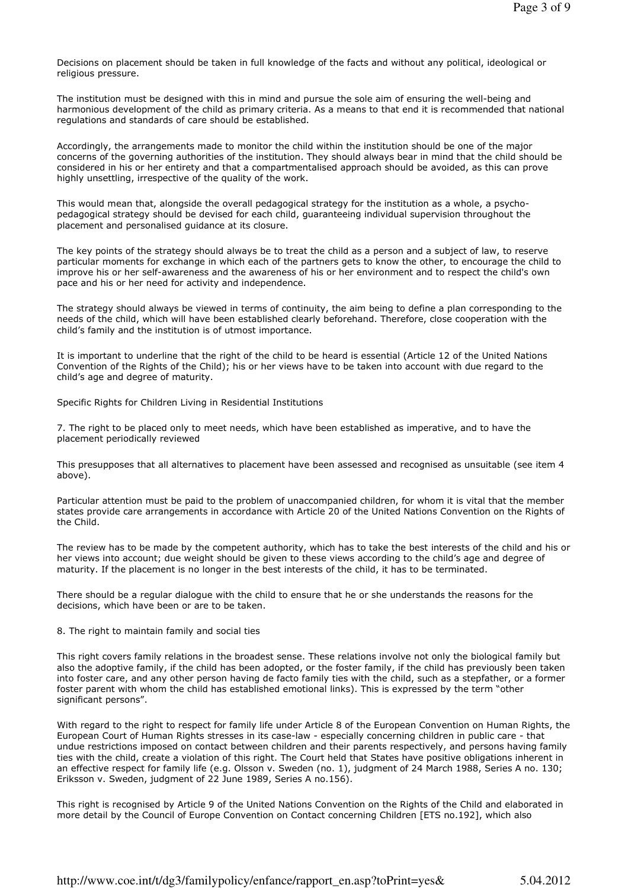Decisions on placement should be taken in full knowledge of the facts and without any political, ideological or religious pressure.

The institution must be designed with this in mind and pursue the sole aim of ensuring the well-being and harmonious development of the child as primary criteria. As a means to that end it is recommended that national regulations and standards of care should be established.

Accordingly, the arrangements made to monitor the child within the institution should be one of the major concerns of the governing authorities of the institution. They should always bear in mind that the child should be considered in his or her entirety and that a compartmentalised approach should be avoided, as this can prove highly unsettling, irrespective of the quality of the work.

This would mean that, alongside the overall pedagogical strategy for the institution as a whole, a psychopedagogical strategy should be devised for each child, guaranteeing individual supervision throughout the placement and personalised guidance at its closure.

The key points of the strategy should always be to treat the child as a person and a subject of law, to reserve particular moments for exchange in which each of the partners gets to know the other, to encourage the child to improve his or her self-awareness and the awareness of his or her environment and to respect the child's own pace and his or her need for activity and independence.

The strategy should always be viewed in terms of continuity, the aim being to define a plan corresponding to the needs of the child, which will have been established clearly beforehand. Therefore, close cooperation with the child's family and the institution is of utmost importance.

It is important to underline that the right of the child to be heard is essential (Article 12 of the United Nations Convention of the Rights of the Child); his or her views have to be taken into account with due regard to the child's age and degree of maturity.

Specific Rights for Children Living in Residential Institutions

7. The right to be placed only to meet needs, which have been established as imperative, and to have the placement periodically reviewed

This presupposes that all alternatives to placement have been assessed and recognised as unsuitable (see item 4 above).

Particular attention must be paid to the problem of unaccompanied children, for whom it is vital that the member states provide care arrangements in accordance with Article 20 of the United Nations Convention on the Rights of the Child.

The review has to be made by the competent authority, which has to take the best interests of the child and his or her views into account; due weight should be given to these views according to the child's age and degree of maturity. If the placement is no longer in the best interests of the child, it has to be terminated.

There should be a regular dialogue with the child to ensure that he or she understands the reasons for the decisions, which have been or are to be taken.

## 8. The right to maintain family and social ties

This right covers family relations in the broadest sense. These relations involve not only the biological family but also the adoptive family, if the child has been adopted, or the foster family, if the child has previously been taken into foster care, and any other person having de facto family ties with the child, such as a stepfather, or a former foster parent with whom the child has established emotional links). This is expressed by the term "other significant persons".

With regard to the right to respect for family life under Article 8 of the European Convention on Human Rights, the European Court of Human Rights stresses in its case-law - especially concerning children in public care - that undue restrictions imposed on contact between children and their parents respectively, and persons having family ties with the child, create a violation of this right. The Court held that States have positive obligations inherent in an effective respect for family life (e.g. Olsson v. Sweden (no. 1), judgment of 24 March 1988, Series A no. 130; Eriksson v. Sweden, judgment of 22 June 1989, Series A no.156).

This right is recognised by Article 9 of the United Nations Convention on the Rights of the Child and elaborated in more detail by the Council of Europe Convention on Contact concerning Children [ETS no.192], which also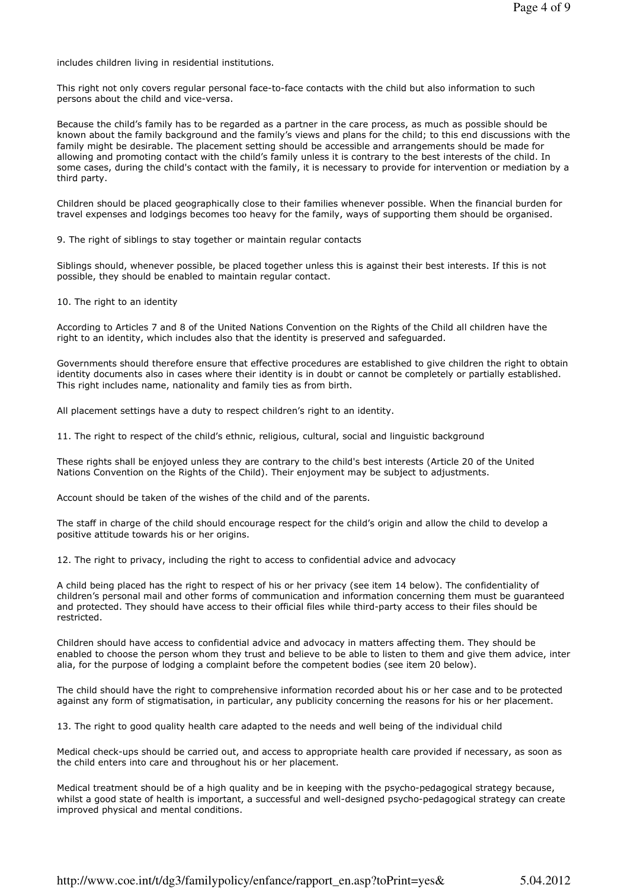includes children living in residential institutions.

This right not only covers regular personal face-to-face contacts with the child but also information to such persons about the child and vice-versa.

Because the child's family has to be regarded as a partner in the care process, as much as possible should be known about the family background and the family's views and plans for the child; to this end discussions with the family might be desirable. The placement setting should be accessible and arrangements should be made for allowing and promoting contact with the child's family unless it is contrary to the best interests of the child. In some cases, during the child's contact with the family, it is necessary to provide for intervention or mediation by a third party.

Children should be placed geographically close to their families whenever possible. When the financial burden for travel expenses and lodgings becomes too heavy for the family, ways of supporting them should be organised.

9. The right of siblings to stay together or maintain regular contacts

Siblings should, whenever possible, be placed together unless this is against their best interests. If this is not possible, they should be enabled to maintain regular contact.

10. The right to an identity

According to Articles 7 and 8 of the United Nations Convention on the Rights of the Child all children have the right to an identity, which includes also that the identity is preserved and safeguarded.

Governments should therefore ensure that effective procedures are established to give children the right to obtain identity documents also in cases where their identity is in doubt or cannot be completely or partially established. This right includes name, nationality and family ties as from birth.

All placement settings have a duty to respect children's right to an identity.

11. The right to respect of the child's ethnic, religious, cultural, social and linguistic background

These rights shall be enjoyed unless they are contrary to the child's best interests (Article 20 of the United Nations Convention on the Rights of the Child). Their enjoyment may be subject to adjustments.

Account should be taken of the wishes of the child and of the parents.

The staff in charge of the child should encourage respect for the child's origin and allow the child to develop a positive attitude towards his or her origins.

12. The right to privacy, including the right to access to confidential advice and advocacy

A child being placed has the right to respect of his or her privacy (see item 14 below). The confidentiality of children's personal mail and other forms of communication and information concerning them must be guaranteed and protected. They should have access to their official files while third-party access to their files should be restricted.

Children should have access to confidential advice and advocacy in matters affecting them. They should be enabled to choose the person whom they trust and believe to be able to listen to them and give them advice, inter alia, for the purpose of lodging a complaint before the competent bodies (see item 20 below).

The child should have the right to comprehensive information recorded about his or her case and to be protected against any form of stigmatisation, in particular, any publicity concerning the reasons for his or her placement.

13. The right to good quality health care adapted to the needs and well being of the individual child

Medical check-ups should be carried out, and access to appropriate health care provided if necessary, as soon as the child enters into care and throughout his or her placement.

Medical treatment should be of a high quality and be in keeping with the psycho-pedagogical strategy because, whilst a good state of health is important, a successful and well-designed psycho-pedagogical strategy can create improved physical and mental conditions.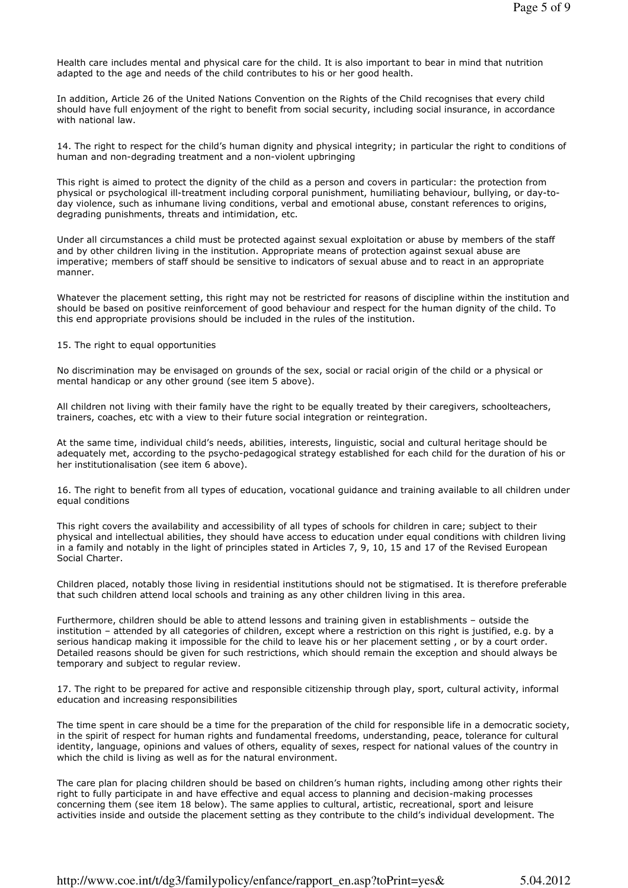Health care includes mental and physical care for the child. It is also important to bear in mind that nutrition adapted to the age and needs of the child contributes to his or her good health.

In addition, Article 26 of the United Nations Convention on the Rights of the Child recognises that every child should have full enjoyment of the right to benefit from social security, including social insurance, in accordance with national law.

14. The right to respect for the child's human dignity and physical integrity; in particular the right to conditions of human and non-degrading treatment and a non-violent upbringing

This right is aimed to protect the dignity of the child as a person and covers in particular: the protection from physical or psychological ill-treatment including corporal punishment, humiliating behaviour, bullying, or day-today violence, such as inhumane living conditions, verbal and emotional abuse, constant references to origins, degrading punishments, threats and intimidation, etc.

Under all circumstances a child must be protected against sexual exploitation or abuse by members of the staff and by other children living in the institution. Appropriate means of protection against sexual abuse are imperative; members of staff should be sensitive to indicators of sexual abuse and to react in an appropriate manner.

Whatever the placement setting, this right may not be restricted for reasons of discipline within the institution and should be based on positive reinforcement of good behaviour and respect for the human dignity of the child. To this end appropriate provisions should be included in the rules of the institution.

# 15. The right to equal opportunities

No discrimination may be envisaged on grounds of the sex, social or racial origin of the child or a physical or mental handicap or any other ground (see item 5 above).

All children not living with their family have the right to be equally treated by their caregivers, schoolteachers, trainers, coaches, etc with a view to their future social integration or reintegration.

At the same time, individual child's needs, abilities, interests, linguistic, social and cultural heritage should be adequately met, according to the psycho-pedagogical strategy established for each child for the duration of his or her institutionalisation (see item 6 above).

16. The right to benefit from all types of education, vocational guidance and training available to all children under equal conditions

This right covers the availability and accessibility of all types of schools for children in care; subject to their physical and intellectual abilities, they should have access to education under equal conditions with children living in a family and notably in the light of principles stated in Articles 7, 9, 10, 15 and 17 of the Revised European Social Charter.

Children placed, notably those living in residential institutions should not be stigmatised. It is therefore preferable that such children attend local schools and training as any other children living in this area.

Furthermore, children should be able to attend lessons and training given in establishments – outside the institution – attended by all categories of children, except where a restriction on this right is justified, e.g. by a serious handicap making it impossible for the child to leave his or her placement setting , or by a court order. Detailed reasons should be given for such restrictions, which should remain the exception and should always be temporary and subject to regular review.

17. The right to be prepared for active and responsible citizenship through play, sport, cultural activity, informal education and increasing responsibilities

The time spent in care should be a time for the preparation of the child for responsible life in a democratic society, in the spirit of respect for human rights and fundamental freedoms, understanding, peace, tolerance for cultural identity, language, opinions and values of others, equality of sexes, respect for national values of the country in which the child is living as well as for the natural environment.

The care plan for placing children should be based on children's human rights, including among other rights their right to fully participate in and have effective and equal access to planning and decision-making processes concerning them (see item 18 below). The same applies to cultural, artistic, recreational, sport and leisure activities inside and outside the placement setting as they contribute to the child's individual development. The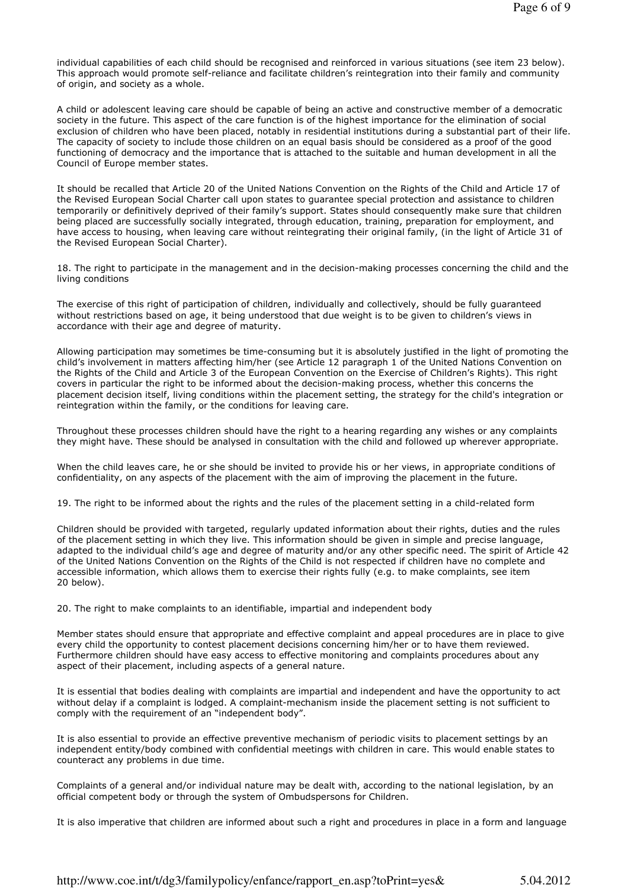individual capabilities of each child should be recognised and reinforced in various situations (see item 23 below). This approach would promote self-reliance and facilitate children's reintegration into their family and community of origin, and society as a whole.

A child or adolescent leaving care should be capable of being an active and constructive member of a democratic society in the future. This aspect of the care function is of the highest importance for the elimination of social exclusion of children who have been placed, notably in residential institutions during a substantial part of their life. The capacity of society to include those children on an equal basis should be considered as a proof of the good functioning of democracy and the importance that is attached to the suitable and human development in all the Council of Europe member states.

It should be recalled that Article 20 of the United Nations Convention on the Rights of the Child and Article 17 of the Revised European Social Charter call upon states to guarantee special protection and assistance to children temporarily or definitively deprived of their family's support. States should consequently make sure that children being placed are successfully socially integrated, through education, training, preparation for employment, and have access to housing, when leaving care without reintegrating their original family, (in the light of Article 31 of the Revised European Social Charter).

18. The right to participate in the management and in the decision-making processes concerning the child and the living conditions

The exercise of this right of participation of children, individually and collectively, should be fully guaranteed without restrictions based on age, it being understood that due weight is to be given to children's views in accordance with their age and degree of maturity.

Allowing participation may sometimes be time-consuming but it is absolutely justified in the light of promoting the child's involvement in matters affecting him/her (see Article 12 paragraph 1 of the United Nations Convention on the Rights of the Child and Article 3 of the European Convention on the Exercise of Children's Rights). This right covers in particular the right to be informed about the decision-making process, whether this concerns the placement decision itself, living conditions within the placement setting, the strategy for the child's integration or reintegration within the family, or the conditions for leaving care.

Throughout these processes children should have the right to a hearing regarding any wishes or any complaints they might have. These should be analysed in consultation with the child and followed up wherever appropriate.

When the child leaves care, he or she should be invited to provide his or her views, in appropriate conditions of confidentiality, on any aspects of the placement with the aim of improving the placement in the future.

19. The right to be informed about the rights and the rules of the placement setting in a child-related form

Children should be provided with targeted, regularly updated information about their rights, duties and the rules of the placement setting in which they live. This information should be given in simple and precise language, adapted to the individual child's age and degree of maturity and/or any other specific need. The spirit of Article 42 of the United Nations Convention on the Rights of the Child is not respected if children have no complete and accessible information, which allows them to exercise their rights fully (e.g. to make complaints, see item 20 below).

20. The right to make complaints to an identifiable, impartial and independent body

Member states should ensure that appropriate and effective complaint and appeal procedures are in place to give every child the opportunity to contest placement decisions concerning him/her or to have them reviewed. Furthermore children should have easy access to effective monitoring and complaints procedures about any aspect of their placement, including aspects of a general nature.

It is essential that bodies dealing with complaints are impartial and independent and have the opportunity to act without delay if a complaint is lodged. A complaint-mechanism inside the placement setting is not sufficient to comply with the requirement of an "independent body".

It is also essential to provide an effective preventive mechanism of periodic visits to placement settings by an independent entity/body combined with confidential meetings with children in care. This would enable states to counteract any problems in due time.

Complaints of a general and/or individual nature may be dealt with, according to the national legislation, by an official competent body or through the system of Ombudspersons for Children.

It is also imperative that children are informed about such a right and procedures in place in a form and language

http://www.coe.int/t/dg3/familypolicy/enfance/rapport\_en.asp?toPrint=yes& 5.04.2012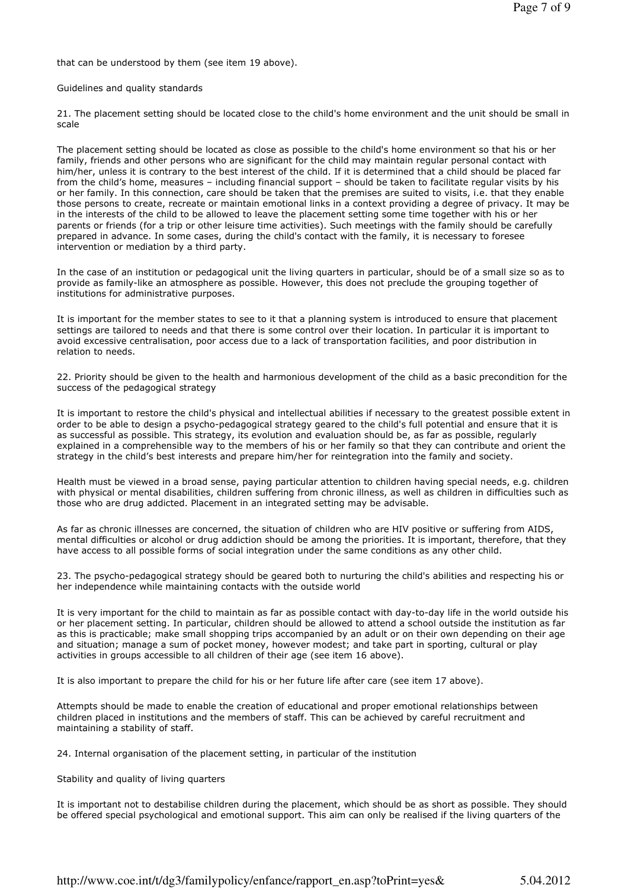that can be understood by them (see item 19 above).

Guidelines and quality standards

21. The placement setting should be located close to the child's home environment and the unit should be small in scale

The placement setting should be located as close as possible to the child's home environment so that his or her family, friends and other persons who are significant for the child may maintain regular personal contact with him/her, unless it is contrary to the best interest of the child. If it is determined that a child should be placed far from the child's home, measures – including financial support – should be taken to facilitate regular visits by his or her family. In this connection, care should be taken that the premises are suited to visits, i.e. that they enable those persons to create, recreate or maintain emotional links in a context providing a degree of privacy. It may be in the interests of the child to be allowed to leave the placement setting some time together with his or her parents or friends (for a trip or other leisure time activities). Such meetings with the family should be carefully prepared in advance. In some cases, during the child's contact with the family, it is necessary to foresee intervention or mediation by a third party.

In the case of an institution or pedagogical unit the living quarters in particular, should be of a small size so as to provide as family-like an atmosphere as possible. However, this does not preclude the grouping together of institutions for administrative purposes.

It is important for the member states to see to it that a planning system is introduced to ensure that placement settings are tailored to needs and that there is some control over their location. In particular it is important to avoid excessive centralisation, poor access due to a lack of transportation facilities, and poor distribution in relation to needs.

22. Priority should be given to the health and harmonious development of the child as a basic precondition for the success of the pedagogical strategy

It is important to restore the child's physical and intellectual abilities if necessary to the greatest possible extent in order to be able to design a psycho-pedagogical strategy geared to the child's full potential and ensure that it is as successful as possible. This strategy, its evolution and evaluation should be, as far as possible, regularly explained in a comprehensible way to the members of his or her family so that they can contribute and orient the strategy in the child's best interests and prepare him/her for reintegration into the family and society.

Health must be viewed in a broad sense, paying particular attention to children having special needs, e.g. children with physical or mental disabilities, children suffering from chronic illness, as well as children in difficulties such as those who are drug addicted. Placement in an integrated setting may be advisable.

As far as chronic illnesses are concerned, the situation of children who are HIV positive or suffering from AIDS, mental difficulties or alcohol or drug addiction should be among the priorities. It is important, therefore, that they have access to all possible forms of social integration under the same conditions as any other child.

23. The psycho-pedagogical strategy should be geared both to nurturing the child's abilities and respecting his or her independence while maintaining contacts with the outside world

It is very important for the child to maintain as far as possible contact with day-to-day life in the world outside his or her placement setting. In particular, children should be allowed to attend a school outside the institution as far as this is practicable; make small shopping trips accompanied by an adult or on their own depending on their age and situation; manage a sum of pocket money, however modest; and take part in sporting, cultural or play activities in groups accessible to all children of their age (see item 16 above).

It is also important to prepare the child for his or her future life after care (see item 17 above).

Attempts should be made to enable the creation of educational and proper emotional relationships between children placed in institutions and the members of staff. This can be achieved by careful recruitment and maintaining a stability of staff.

24. Internal organisation of the placement setting, in particular of the institution

Stability and quality of living quarters

It is important not to destabilise children during the placement, which should be as short as possible. They should be offered special psychological and emotional support. This aim can only be realised if the living quarters of the

http://www.coe.int/t/dg3/familypolicy/enfance/rapport\_en.asp?toPrint=yes& 5.04.2012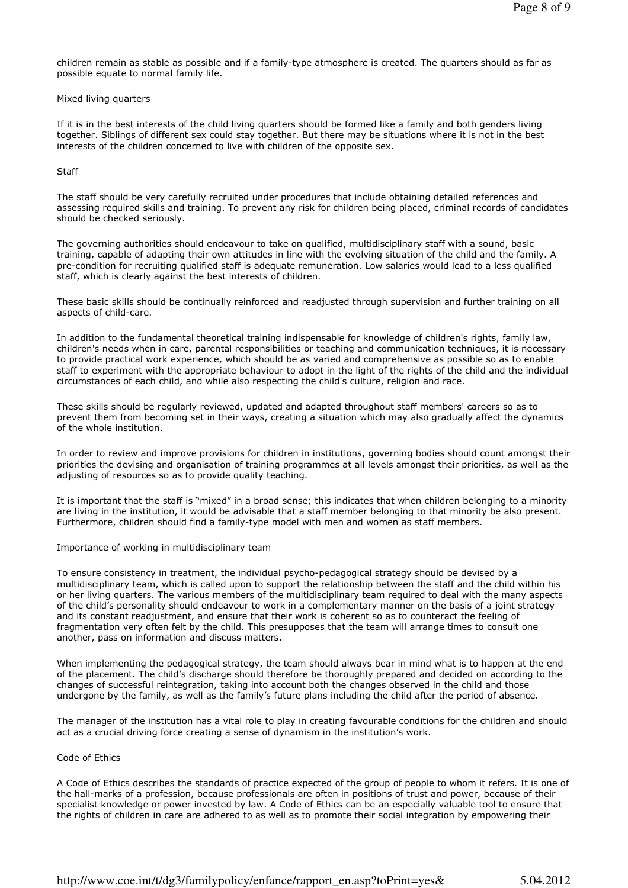children remain as stable as possible and if a family-type atmosphere is created. The quarters should as far as possible equate to normal family life.

### Mixed living quarters

If it is in the best interests of the child living quarters should be formed like a family and both genders living together. Siblings of different sex could stay together. But there may be situations where it is not in the best interests of the children concerned to live with children of the opposite sex.

### **Staff**

The staff should be very carefully recruited under procedures that include obtaining detailed references and assessing required skills and training. To prevent any risk for children being placed, criminal records of candidates should be checked seriously.

The governing authorities should endeavour to take on qualified, multidisciplinary staff with a sound, basic training, capable of adapting their own attitudes in line with the evolving situation of the child and the family. A pre-condition for recruiting qualified staff is adequate remuneration. Low salaries would lead to a less qualified staff, which is clearly against the best interests of children.

These basic skills should be continually reinforced and readjusted through supervision and further training on all aspects of child-care.

In addition to the fundamental theoretical training indispensable for knowledge of children's rights, family law, children's needs when in care, parental responsibilities or teaching and communication techniques, it is necessary to provide practical work experience, which should be as varied and comprehensive as possible so as to enable staff to experiment with the appropriate behaviour to adopt in the light of the rights of the child and the individual circumstances of each child, and while also respecting the child's culture, religion and race.

These skills should be regularly reviewed, updated and adapted throughout staff members' careers so as to prevent them from becoming set in their ways, creating a situation which may also gradually affect the dynamics of the whole institution.

In order to review and improve provisions for children in institutions, governing bodies should count amongst their priorities the devising and organisation of training programmes at all levels amongst their priorities, as well as the adjusting of resources so as to provide quality teaching.

It is important that the staff is "mixed" in a broad sense; this indicates that when children belonging to a minority are living in the institution, it would be advisable that a staff member belonging to that minority be also present. Furthermore, children should find a family-type model with men and women as staff members.

## Importance of working in multidisciplinary team

To ensure consistency in treatment, the individual psycho-pedagogical strategy should be devised by a multidisciplinary team, which is called upon to support the relationship between the staff and the child within his or her living quarters. The various members of the multidisciplinary team required to deal with the many aspects of the child's personality should endeavour to work in a complementary manner on the basis of a joint strategy and its constant readjustment, and ensure that their work is coherent so as to counteract the feeling of fragmentation very often felt by the child. This presupposes that the team will arrange times to consult one another, pass on information and discuss matters.

When implementing the pedagogical strategy, the team should always bear in mind what is to happen at the end of the placement. The child's discharge should therefore be thoroughly prepared and decided on according to the changes of successful reintegration, taking into account both the changes observed in the child and those undergone by the family, as well as the family's future plans including the child after the period of absence.

The manager of the institution has a vital role to play in creating favourable conditions for the children and should act as a crucial driving force creating a sense of dynamism in the institution's work.

## Code of Ethics

A Code of Ethics describes the standards of practice expected of the group of people to whom it refers. It is one of the hall-marks of a profession, because professionals are often in positions of trust and power, because of their specialist knowledge or power invested by law. A Code of Ethics can be an especially valuable tool to ensure that the rights of children in care are adhered to as well as to promote their social integration by empowering their